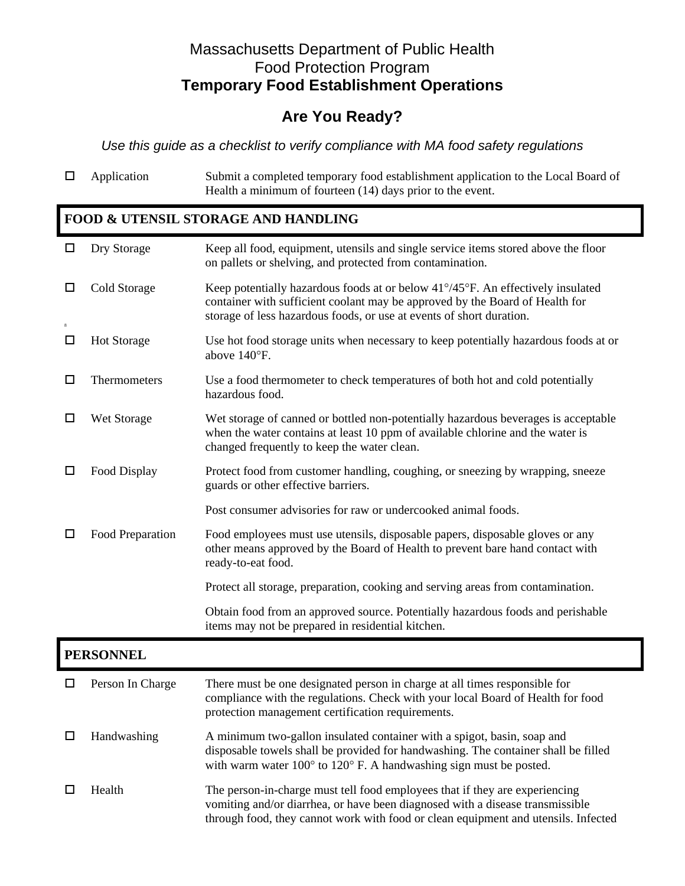## Massachusetts Department of Public Health Food Protection Program **Temporary Food Establishment Operations**

## **Are You Ready?**

*Use this guide as a checklist to verify compliance with MA food safety regulations* 

 Application Submit a completed temporary food establishment application to the Local Board of Health a minimum of fourteen (14) days prior to the event.

## **FOOD & UTENSIL STORAGE AND HANDLING**

| $\Box$           | Dry Storage        | Keep all food, equipment, utensils and single service items stored above the floor<br>on pallets or shelving, and protected from contamination.                                                                                                       |  |  |  |
|------------------|--------------------|-------------------------------------------------------------------------------------------------------------------------------------------------------------------------------------------------------------------------------------------------------|--|--|--|
| □                | Cold Storage       | Keep potentially hazardous foods at or below 41°/45°F. An effectively insulated<br>container with sufficient coolant may be approved by the Board of Health for<br>storage of less hazardous foods, or use at events of short duration.               |  |  |  |
| □                | <b>Hot Storage</b> | Use hot food storage units when necessary to keep potentially hazardous foods at or<br>above 140°F.                                                                                                                                                   |  |  |  |
| □                | Thermometers       | Use a food thermometer to check temperatures of both hot and cold potentially<br>hazardous food.                                                                                                                                                      |  |  |  |
| □                | Wet Storage        | Wet storage of canned or bottled non-potentially hazardous beverages is acceptable<br>when the water contains at least 10 ppm of available chlorine and the water is<br>changed frequently to keep the water clean.                                   |  |  |  |
| □                | Food Display       | Protect food from customer handling, coughing, or sneezing by wrapping, sneeze<br>guards or other effective barriers.                                                                                                                                 |  |  |  |
|                  |                    | Post consumer advisories for raw or undercooked animal foods.                                                                                                                                                                                         |  |  |  |
| □                | Food Preparation   | Food employees must use utensils, disposable papers, disposable gloves or any<br>other means approved by the Board of Health to prevent bare hand contact with<br>ready-to-eat food.                                                                  |  |  |  |
|                  |                    | Protect all storage, preparation, cooking and serving areas from contamination.                                                                                                                                                                       |  |  |  |
|                  |                    | Obtain food from an approved source. Potentially hazardous foods and perishable<br>items may not be prepared in residential kitchen.                                                                                                                  |  |  |  |
| <b>PERSONNEL</b> |                    |                                                                                                                                                                                                                                                       |  |  |  |
| □                | Person In Charge   | There must be one designated person in charge at all times responsible for<br>compliance with the regulations. Check with your local Board of Health for food<br>protection management certification requirements.                                    |  |  |  |
| □                | Handwashing        | A minimum two-gallon insulated container with a spigot, basin, soap and<br>disposable towels shall be provided for handwashing. The container shall be filled<br>with warm water $100^{\circ}$ to $120^{\circ}$ F. A handwashing sign must be posted. |  |  |  |
| □                | Health             | The person-in-charge must tell food employees that if they are experiencing<br>vomiting and/or diarrhea, or have been diagnosed with a disease transmissible<br>through food, they cannot work with food or clean equipment and utensils. Infected    |  |  |  |